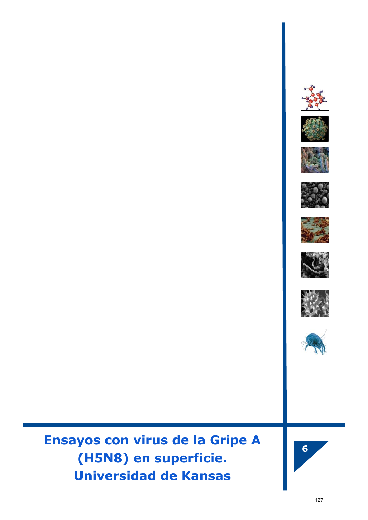















**Ensayos con virus de la Gripe A (H5N8) en superficie. Universidad de Kansas** 

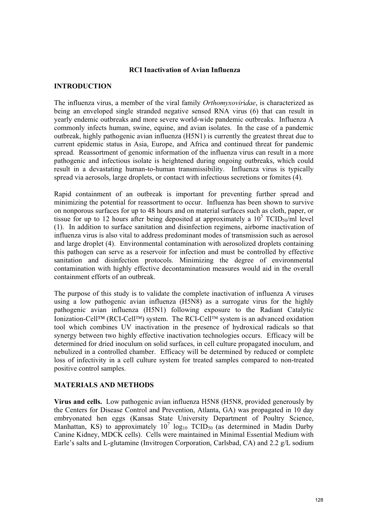### **RCI Inactivation of Avian Influenza**

### **INTRODUCTION**

The influenza virus, a member of the viral family *Orthomyxovir*i*dae*, is characterized as being an enveloped single stranded negative sensed RNA virus (6) that can result in yearly endemic outbreaks and more severe world-wide pandemic outbreaks. Influenza A commonly infects human, swine, equine, and avian isolates. In the case of a pandemic outbreak, highly pathogenic avian influenza (H5N1) is currently the greatest threat due to current epidemic status in Asia, Europe, and Africa and continued threat for pandemic spread. Reassortment of genomic information of the influenza virus can result in a more pathogenic and infectious isolate is heightened during ongoing outbreaks, which could result in a devastating human-to-human transmissibility. Influenza virus is typically spread via aerosols, large droplets, or contact with infectious secretions or fomites (4).

Rapid containment of an outbreak is important for preventing further spread and minimizing the potential for reassortment to occur. Influenza has been shown to survive on nonporous surfaces for up to 48 hours and on material surfaces such as cloth, paper, or tissue for up to 12 hours after being deposited at approximately a  $10^5$  TCID<sub>50</sub>/ml level (1). In addition to surface sanitation and disinfection regimens, airborne inactivation of influenza virus is also vital to address predominant modes of transmission such as aerosol and large droplet (4). Environmental contamination with aerosolized droplets containing this pathogen can serve as a reservoir for infection and must be controlled by effective sanitation and disinfection protocols. Minimizing the degree of environmental contamination with highly effective decontamination measures would aid in the overall containment efforts of an outbreak.

The purpose of this study is to validate the complete inactivation of influenza A viruses using a low pathogenic avian influenza (H5N8) as a surrogate virus for the highly pathogenic avian influenza (H5N1) following exposure to the Radiant Catalytic Ionization-Cell™ (RCI-Cell™) system. The RCI-Cell™ system is an advanced oxidation tool which combines UV inactivation in the presence of hydroxical radicals so that synergy between two highly effective inactivation technologies occurs. Efficacy will be determined for dried inoculum on solid surfaces, in cell culture propagated inoculum, and nebulized in a controlled chamber. Efficacy will be determined by reduced or complete loss of infectivity in a cell culture system for treated samples compared to non-treated positive control samples.

### **MATERIALS AND METHODS**

**Virus and cells.** Low pathogenic avian influenza H5N8 (H5N8, provided generously by the Centers for Disease Control and Prevention, Atlanta, GA) was propagated in 10 day embryonated hen eggs (Kansas State University Department of Poultry Science, Manhattan, KS) to approximately  $10^7 \log_{10} TCID_{50}$  (as determined in Madin Darby Canine Kidney, MDCK cells). Cells were maintained in Minimal Essential Medium with Earle's salts and L-glutamine (Invitrogen Corporation, Carlsbad, CA) and 2.2 g/L sodium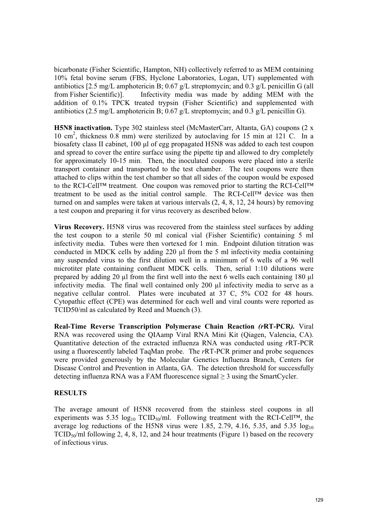bicarbonate (Fisher Scientific, Hampton, NH) collectively referred to as MEM containing 10% fetal bovine serum (FBS, Hyclone Laboratories, Logan, UT) supplemented with antibiotics  $[2.5 \text{ mg/L}$  amphotericin B;  $0.67 \text{ g/L}$  streptomycin; and  $0.3 \text{ g/L}$  penicillin G (all from Fisher Scientific)]. Infectivity media was made by adding MEM with the addition of 0.1% TPCK treated trypsin (Fisher Scientific) and supplemented with antibiotics (2.5 mg/L amphotericin B; 0.67 g/L streptomycin; and 0.3 g/L penicillin G).

**H5N8 inactivation.** Type 302 stainless steel (McMasterCarr, Altanta, GA) coupons (2 x 10 cm2 , thickness 0.8 mm) were sterilized by autoclaving for 15 min at 121 C. In a biosafety class II cabinet, 100 µl of egg propagated H5N8 was added to each test coupon and spread to cover the entire surface using the pipette tip and allowed to dry completely for approximately 10-15 min. Then, the inoculated coupons were placed into a sterile transport container and transported to the test chamber. The test coupons were then attached to clips within the test chamber so that all sides of the coupon would be exposed to the RCI-Cell™ treatment. One coupon was removed prior to starting the RCI-Cell™ treatment to be used as the initial control sample. The RCI-Cell™ device was then turned on and samples were taken at various intervals (2, 4, 8, 12, 24 hours) by removing a test coupon and preparing it for virus recovery as described below.

**Virus Recovery.** H5N8 virus was recovered from the stainless steel surfaces by adding the test coupon to a sterile 50 ml conical vial (Fisher Scientific) containing 5 ml infectivity media. Tubes were then vortexed for 1 min. Endpoint dilution titration was conducted in MDCK cells by adding 220 μl from the 5 ml infectivity media containing any suspended virus to the first dilution well in a minimum of 6 wells of a 96 well microtiter plate containing confluent MDCK cells. Then, serial 1:10 dilutions were prepared by adding 20 μl from the first well into the next 6 wells each containing 180 μl infectivity media. The final well contained only 200 μl infectivity media to serve as a negative cellular control. Plates were incubated at 37 C, 5% CO2 for 48 hours. Cytopathic effect (CPE) was determined for each well and viral counts were reported as TCID50/ml as calculated by Reed and Muench (3).

**Real-Time Reverse Transcription Polymerase Chain Reaction** *(r***RT-PCR***).* Viral RNA was recovered using the QIAamp Viral RNA Mini Kit (Qiagen, Valencia, CA). Quantitative detection of the extracted influenza RNA was conducted using *r*RT-PCR using a fluorescently labeled TaqMan probe. The *r*RT-PCR primer and probe sequences were provided generously by the Molecular Genetics Influenza Branch, Centers for Disease Control and Prevention in Atlanta, GA. The detection threshold for successfully detecting influenza RNA was a FAM fluorescence signal  $\geq$  3 using the SmartCycler.

### **RESULTS**

The average amount of H5N8 recovered from the stainless steel coupons in all experiments was 5.35  $log_{10} TCID_{50}/ml$ . Following treatment with the RCI-Cell<sup>TM</sup>, the average log reductions of the H5N8 virus were 1.85, 2.79, 4.16, 5.35, and 5.35  $log_{10}$  $TCID<sub>50</sub>/ml following 2, 4, 8, 12, and 24 hour treatments (Figure 1) based on the recovery$ of infectious virus.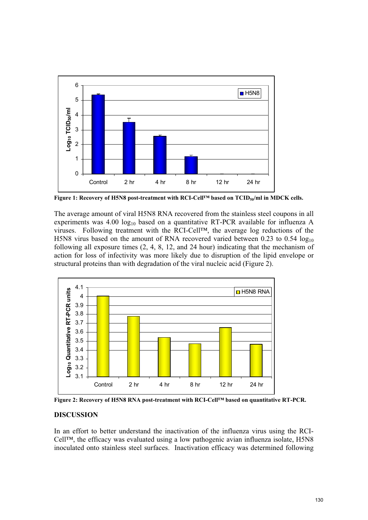

Figure 1: Recovery of H5N8 post-treatment with RCI-Cell™ based on TCID<sub>50</sub>/ml in MDCK cells.

The average amount of viral H5N8 RNA recovered from the stainless steel coupons in all experiments was 4.00  $log_{10}$  based on a quantitative RT-PCR available for influenza A viruses. Following treatment with the RCI-Cell™, the average log reductions of the H5N8 virus based on the amount of RNA recovered varied between  $0.23$  to  $0.54 \log_{10}$ following all exposure times (2, 4, 8, 12, and 24 hour) indicating that the mechanism of action for loss of infectivity was more likely due to disruption of the lipid envelope or structural proteins than with degradation of the viral nucleic acid (Figure 2).



**Figure 2: Recovery of H5N8 RNA post-treatment with RCI-Cell™ based on quantitative RT-PCR.** 

### **DISCUSSION**

In an effort to better understand the inactivation of the influenza virus using the RCI-Cell™, the efficacy was evaluated using a low pathogenic avian influenza isolate, H5N8 inoculated onto stainless steel surfaces. Inactivation efficacy was determined following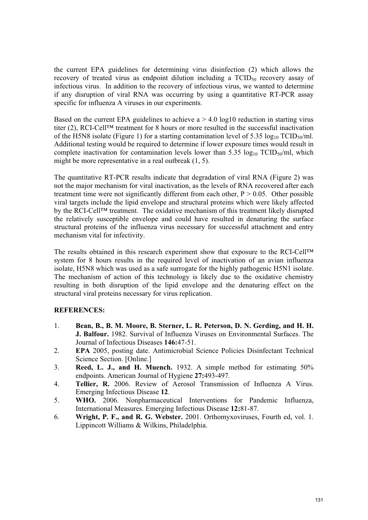the current EPA guidelines for determining virus disinfection (2) which allows the recovery of treated virus as endpoint dilution including a  $TCID_{50}$  recovery assay of infectious virus. In addition to the recovery of infectious virus, we wanted to determine if any disruption of viral RNA was occurring by using a quantitative RT-PCR assay specific for influenza A viruses in our experiments.

Based on the current EPA guidelines to achieve  $a > 4.0 \log 10$  reduction in starting virus titer (2), RCI-Cell™ treatment for 8 hours or more resulted in the successful inactivation of the H5N8 isolate (Figure 1) for a starting contamination level of 5.35  $log_{10} TCID_{50}/ml$ . Additional testing would be required to determine if lower exposure times would result in complete inactivation for contamination levels lower than 5.35  $log_{10} TCID_{50}/ml$ , which might be more representative in a real outbreak (1, 5).

The quantitative RT-PCR results indicate that degradation of viral RNA (Figure 2) was not the major mechanism for viral inactivation, as the levels of RNA recovered after each treatment time were not significantly different from each other,  $P > 0.05$ . Other possible viral targets include the lipid envelope and structural proteins which were likely affected by the RCI-Cell™ treatment. The oxidative mechanism of this treatment likely disrupted the relatively susceptible envelope and could have resulted in denaturing the surface structural proteins of the influenza virus necessary for successful attachment and entry mechanism vital for infectivity.

The results obtained in this research experiment show that exposure to the RCI-Cell™ system for 8 hours results in the required level of inactivation of an avian influenza isolate, H5N8 which was used as a safe surrogate for the highly pathogenic H5N1 isolate. The mechanism of action of this technology is likely due to the oxidative chemistry resulting in both disruption of the lipid envelope and the denaturing effect on the structural viral proteins necessary for virus replication.

### **REFERENCES:**

- 1. **Bean, B., B. M. Moore, B. Sterner, L. R. Peterson, D. N. Gerding, and H. H. J. Balfour.** 1982. Survival of Influenza Viruses on Environmental Surfaces. The Journal of Infectious Diseases **146:**47-51.
- 2. **EPA** 2005, posting date. Antimicrobial Science Policies Disinfectant Technical Science Section. [Online.]
- 3. **Reed, L. J., and H. Muench.** 1932. A simple method for estimating 50% endpoints. American Journal of Hygiene **27:**493-497.
- 4. **Tellier, R.** 2006. Review of Aerosol Transmission of Influenza A Virus. Emerging Infectious Disease **12**.
- 5. **WHO.** 2006. Nonpharmaceutical Interventions for Pandemic Influenza, International Measures. Emerging Infectious Disease **12:**81-87.
- 6. **Wright, P. F., and R. G. Webster.** 2001. Orthomyxoviruses, Fourth ed, vol. 1. Lippincott Williams & Wilkins, Philadelphia.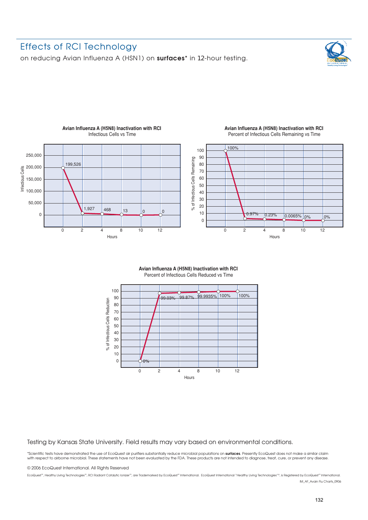### Effects of RCI Technology

on reducing Avian Influenza A (HSN1) on **surfaces\*** in 12-hour testing.





### **Avian Influenza A (H5N8) Inactivation with RCI**  Infectious Cells vs Time

### **Avian Influenza A (H5N8) Inactivation with RCI**  Percent of Infectious Cells Remaining vs Time



### **Avian Influenza A (H5N8) Inactivation with RCI**  Percent of Infectious Cells Reduced vs Time



### Testing by Kansas State University. Field results may vary based on environmental conditions.

\*Scientific tests have demonstrated the use of EcoQuest air purifiers substantially reduce microbial populations on **surfaces**. Presently EcoQuest does not make a similar claim with respect to airborne microbial. These statements have not been evaluated by the FDA. These products are not intended to diagnose, treat, cure, or prevent any disease.

© 2006 EcoQuest International. All Rights Reserved

EcoQuest™, Healthy Living Technologies™, RCI Radiant Catalytic Ionizer™, are Trademarked by EcoQuest™ International. EcoQuest International "Healthy Living Technologies"®, is Registered by EcoQuest™ International. IM\_AF\_Avain Flu Charts\_0906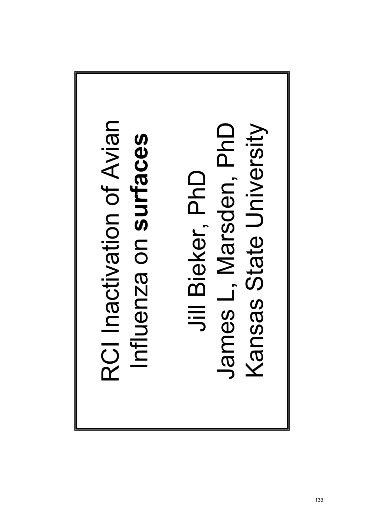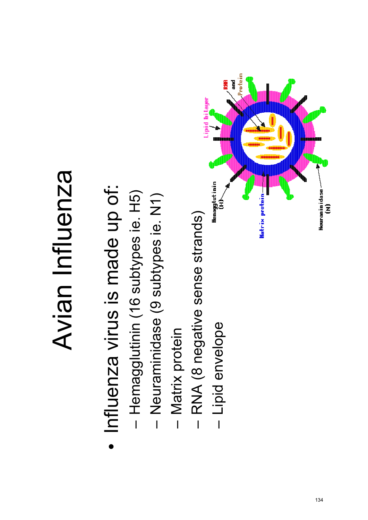# **Avian Influenza** Avian Influenza

- Influenza virus is made up of: • Influenza virus is made up of:
- Hemagglutinin (16 subtypes ie. H5) – Hemagglutinin (16 subtypes ie. H5)
- Neuraminidase (9 subtypes ie. N1) – Neuraminidase (9 subtypes ie. N1)
- Matrix protein – Matrix protein
- RNA (8 negative sense strands) – RNA (8 negative sense strands)
- Lipid envelope – Lipid envelope

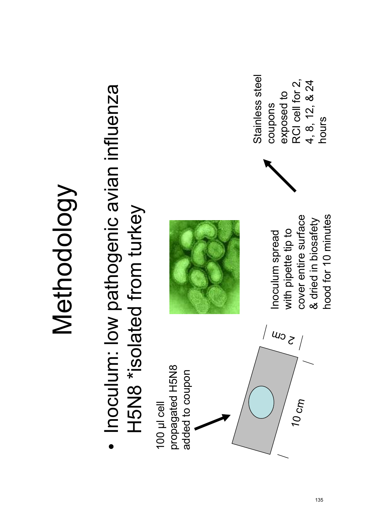## Methodology Methodology

• Inoculum: low pathogenic avian influenza Inoculum: low pathogenic avian influenza H5N8 \*isolated from turkey H5N8 \*isolated from turkey





cover entire surface hood for 10 minutes cover entire surface hood for 10 minutes & dried in biosafety & dried in biosafety with pipette tip to Inoculum spread with pipette tip to Inoculum spread

Stainless steel exposed to<br>RCI cell for 2,<br>4, 8, 12, & 24 Stainless steel RCI cell for 2, 4, 8, 12, & 24 exposed to coupons coupons hours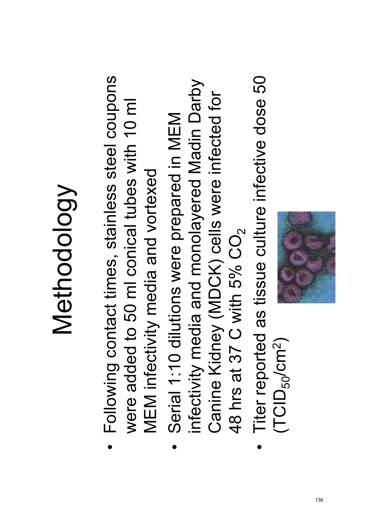## Methodology Methodology

- Following contact times, stainless steel coupons Following contact times, stainless steel coupons were added to 50 ml conical tubes with 10 ml were added to 50 ml conical tubes with 10 ml MEM infectivity media and vortexed MEM infectivity media and vortexed
- infectivity media and monolayered Madin Darby infectivity media and monolayered Madin Darby Canine Kidney (MDCK) cells were infected for Canine Kidney (MDCK) cells were infected for • Serial 1:10 dilutions were prepared in MEM Serial 1:10 dilutions were prepared in MEM 48 hrs at 37 C with 5% CO<sub>2</sub> 48 hrs at 37 C with 5%  $\mathsf{CO}_2$
- Titer reported as tissue culture infective dose 50 Titer reported as tissue culture infective dose 50  $(TCD_{50}/cm^2)$  $({\sf TCID}_{50}/{\sf cm}^2)$

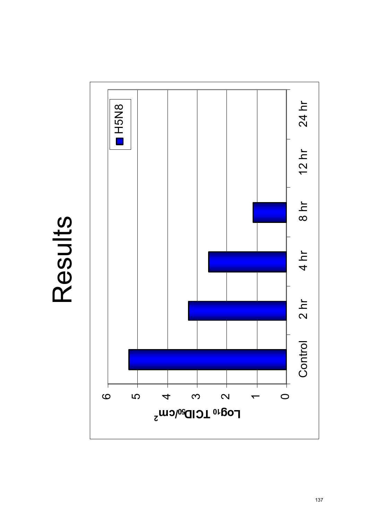